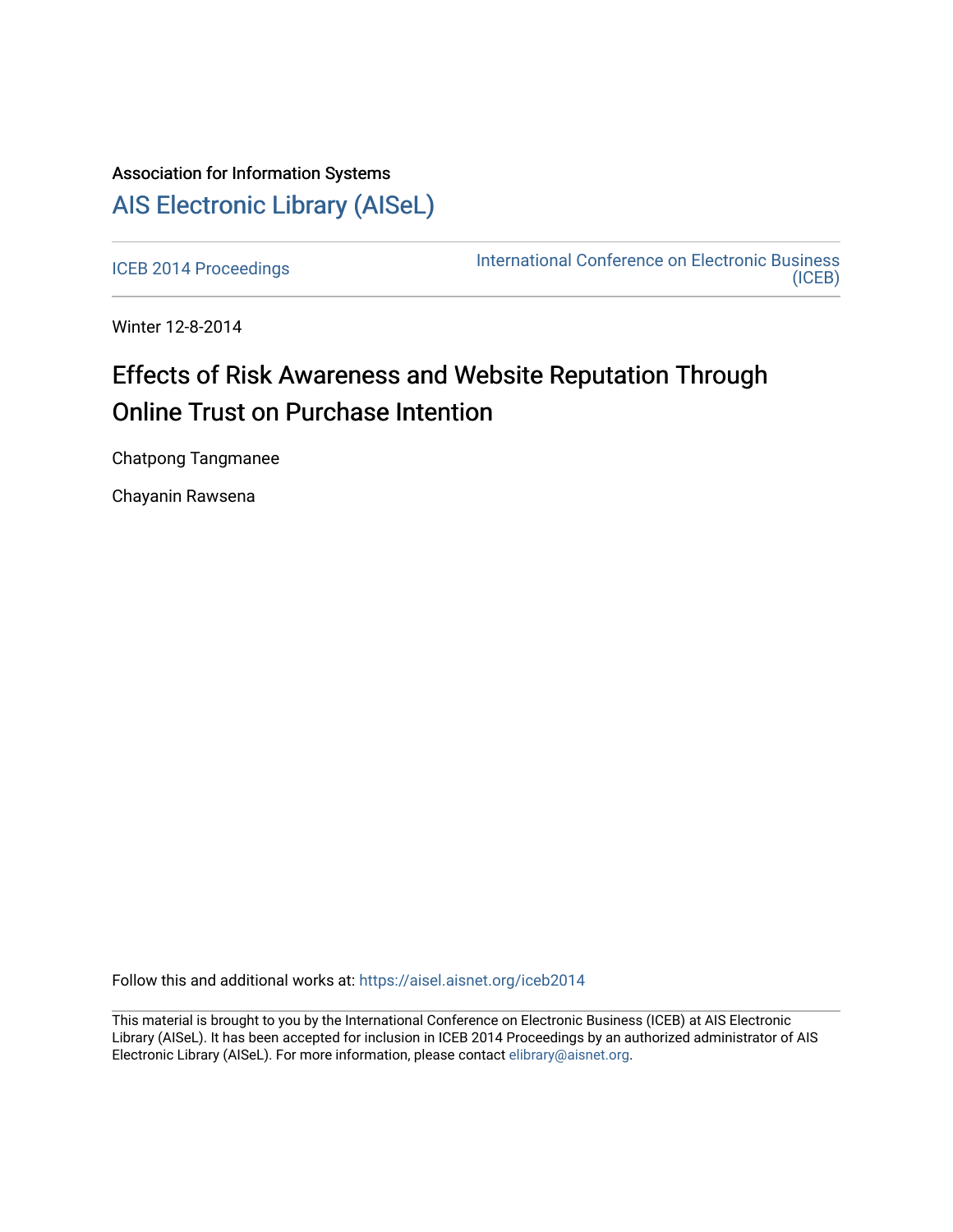## Association for Information Systems [AIS Electronic Library \(AISeL\)](https://aisel.aisnet.org/)

[ICEB 2014 Proceedings](https://aisel.aisnet.org/iceb2014) **International Conference on Electronic Business** [\(ICEB\)](https://aisel.aisnet.org/iceb) 

Winter 12-8-2014

## Effects of Risk Awareness and Website Reputation Through Online Trust on Purchase Intention

Chatpong Tangmanee

Chayanin Rawsena

Follow this and additional works at: [https://aisel.aisnet.org/iceb2014](https://aisel.aisnet.org/iceb2014?utm_source=aisel.aisnet.org%2Ficeb2014%2F45&utm_medium=PDF&utm_campaign=PDFCoverPages)

This material is brought to you by the International Conference on Electronic Business (ICEB) at AIS Electronic Library (AISeL). It has been accepted for inclusion in ICEB 2014 Proceedings by an authorized administrator of AIS Electronic Library (AISeL). For more information, please contact [elibrary@aisnet.org.](mailto:elibrary@aisnet.org%3E)